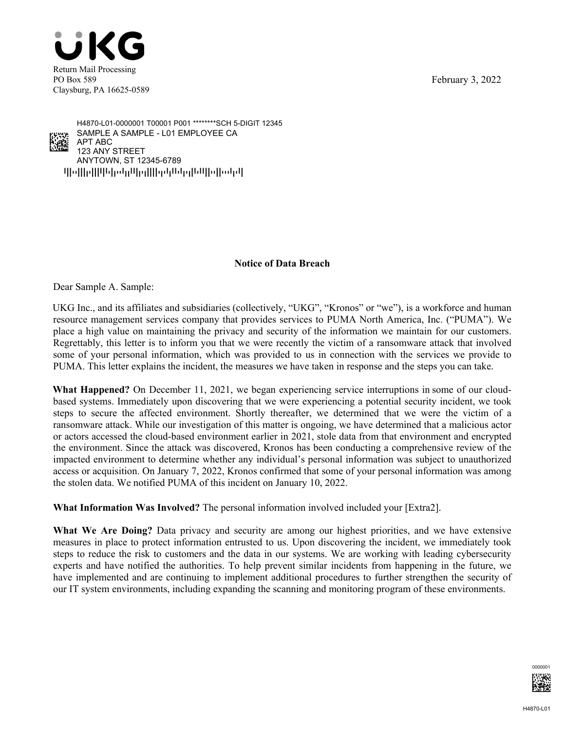February 3, 2022





 $q$ pps $\eta$ pppp $\eta$  pp $\eta$ pppp $\eta$ ANYTOWN, ST 12345-6789 123 ANY STREET APT ABC SAMPLE A SAMPLE - L01 EMPLOYEE CA H4870-L01-0000001 T00001 P001 \*\*\*\*\*\*\*\*SCH 5-DIGIT 12345

## **Notice of Data Breach**

Dear Sample A. Sample:

UKG Inc., and its affiliates and subsidiaries (collectively, "UKG", "Kronos" or "we"), is a workforce and human resource management services company that provides services to PUMA North America, Inc. ("PUMA"). We place a high value on maintaining the privacy and security of the information we maintain for our customers. Regrettably, this letter is to inform you that we were recently the victim of a ransomware attack that involved some of your personal information, which was provided to us in connection with the services we provide to PUMA. This letter explains the incident, the measures we have taken in response and the steps you can take.

**What Happened?** On December 11, 2021, we began experiencing service interruptions in some of our cloudbased systems. Immediately upon discovering that we were experiencing a potential security incident, we took steps to secure the affected environment. Shortly thereafter, we determined that we were the victim of a ransomware attack. While our investigation of this matter is ongoing, we have determined that a malicious actor or actors accessed the cloud-based environment earlier in 2021, stole data from that environment and encrypted the environment. Since the attack was discovered, Kronos has been conducting a comprehensive review of the impacted environment to determine whether any individual's personal information was subject to unauthorized access or acquisition. On January 7, 2022, Kronos confirmed that some of your personal information was among the stolen data. We notified PUMA of this incident on January 10, 2022.

**What Information Was Involved?** The personal information involved included your [Extra2].

**What We Are Doing?** Data privacy and security are among our highest priorities, and we have extensive measures in place to protect information entrusted to us. Upon discovering the incident, we immediately took steps to reduce the risk to customers and the data in our systems. We are working with leading cybersecurity experts and have notified the authorities. To help prevent similar incidents from happening in the future, we have implemented and are continuing to implement additional procedures to further strengthen the security of our IT system environments, including expanding the scanning and monitoring program of these environments.

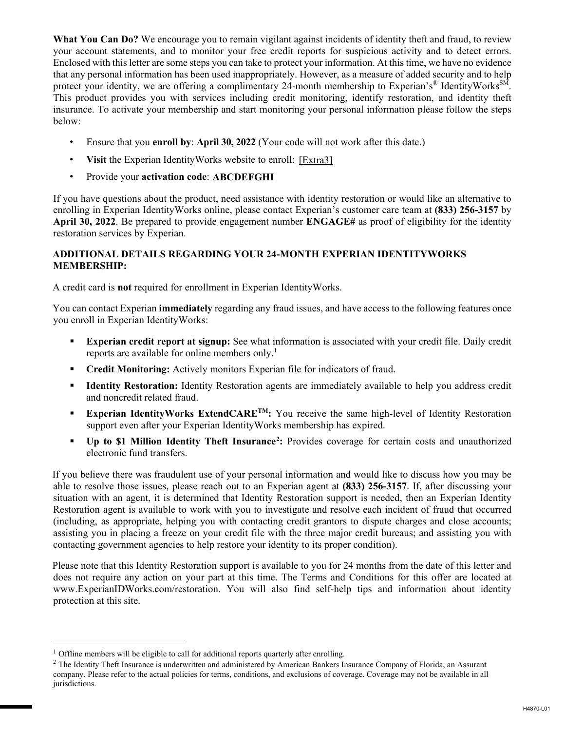**What You Can Do?** We encourage you to remain vigilant against incidents of identity theft and fraud, to review your account statements, and to monitor your free credit reports for suspicious activity and to detect errors. Enclosed with this letter are some steps you can take to protect your information. At this time, we have no evidence that any personal information has been used inappropriately. However, as a measure of added security and to help protect your identity, we are offering a complimentary 24-month membership to Experian's<sup>®</sup> IdentityWorks<sup>SM</sup>. This product provides you with services including credit monitoring, identify restoration, and identity theft insurance. To activate your membership and start monitoring your personal information please follow the steps below:

- Ensure that you **enroll by**: **April 30, 2022** (Your code will not work after this date.)
- Visit the Experian Identity Works website to enroll: [Extra3]
- Provide your **activation code**: **ABCDEFGHI**

If you have questions about the product, need assistance with identity restoration or would like an alternative to enrolling in Experian IdentityWorks online, please contact Experian's customer care team at **(833) 256-3157** by **April 30, 2022**. Be prepared to provide engagement number **ENGAGE#** as proof of eligibility for the identity restoration services by Experian.

## **ADDITIONAL DETAILS REGARDING YOUR 24-MONTH EXPERIAN IDENTITYWORKS MEMBERSHIP:**

A credit card is **not** required for enrollment in Experian IdentityWorks.

You can contact Experian **immediately** regarding any fraud issues, and have access to the following features once you enroll in Experian IdentityWorks:

- **Experian credit report at signup:** See what information is associated with your credit file. Daily credit reports are available for online members only.**<sup>1</sup>**
- **Credit Monitoring:** Actively monitors Experian file for indicators of fraud.
- **Identity Restoration:** Identity Restoration agents are immediately available to help you address credit and noncredit related fraud.
- **Experian IdentityWorks ExtendCARE<sup>TM</sup>:** You receive the same high-level of Identity Restoration support even after your Experian IdentityWorks membership has expired.
- **Up to \$1 Million Identity Theft Insurance<sup>2</sup>:** Provides coverage for certain costs and unauthorized electronic fund transfers.

If you believe there was fraudulent use of your personal information and would like to discuss how you may be able to resolve those issues, please reach out to an Experian agent at **(833) 256-3157**. If, after discussing your situation with an agent, it is determined that Identity Restoration support is needed, then an Experian Identity Restoration agent is available to work with you to investigate and resolve each incident of fraud that occurred (including, as appropriate, helping you with contacting credit grantors to dispute charges and close accounts; assisting you in placing a freeze on your credit file with the three major credit bureaus; and assisting you with contacting government agencies to help restore your identity to its proper condition).

Please note that this Identity Restoration support is available to you for 24 months from the date of this letter and does not require any action on your part at this time. The Terms and Conditions for this offer are located at www.ExperianIDWorks.com/restoration. You will also find self-help tips and information about identity protection at this site.

 $\overline{a}$ 

<sup>&</sup>lt;sup>1</sup> Offline members will be eligible to call for additional reports quarterly after enrolling.

 $<sup>2</sup>$  The Identity Theft Insurance is underwritten and administered by American Bankers Insurance Company of Florida, an Assurant</sup> company. Please refer to the actual policies for terms, conditions, and exclusions of coverage. Coverage may not be available in all jurisdictions.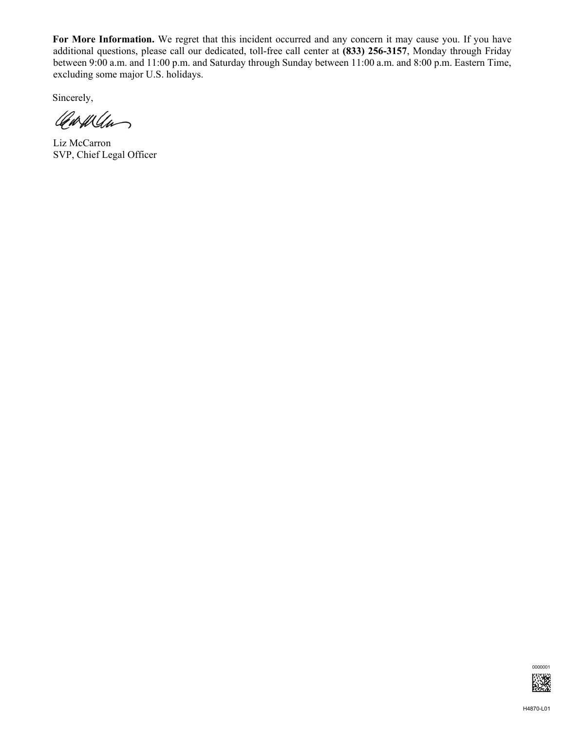**For More Information.** We regret that this incident occurred and any concern it may cause you. If you have additional questions, please call our dedicated, toll-free call center at **(833) 256-3157**, Monday through Friday between 9:00 a.m. and 11:00 p.m. and Saturday through Sunday between 11:00 a.m. and 8:00 p.m. Eastern Time, excluding some major U.S. holidays.

Sincerely,

Carwan

Liz McCarron SVP, Chief Legal Officer

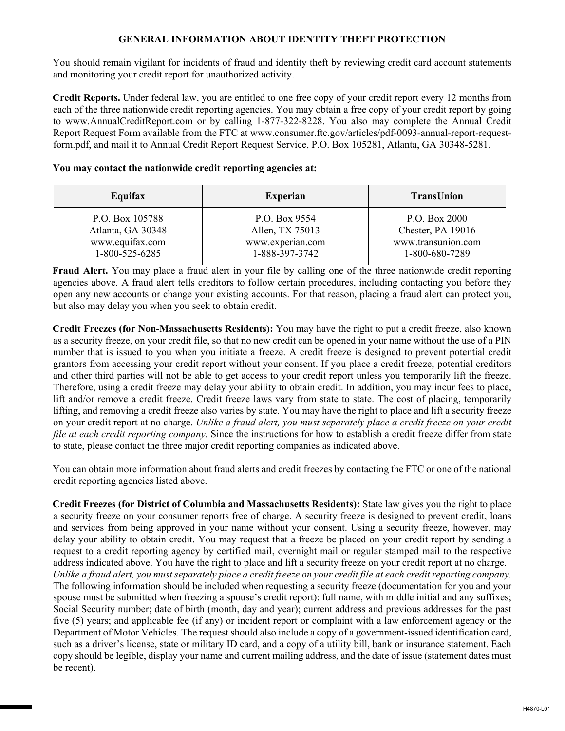## **GENERAL INFORMATION ABOUT IDENTITY THEFT PROTECTION**

You should remain vigilant for incidents of fraud and identity theft by reviewing credit card account statements and monitoring your credit report for unauthorized activity.

**Credit Reports.** Under federal law, you are entitled to one free copy of your credit report every 12 months from each of the three nationwide credit reporting agencies. You may obtain a free copy of your credit report by going to www.AnnualCreditReport.com or by calling 1-877-322-8228. You also may complete the Annual Credit Report Request Form available from the FTC at www.consumer.ftc.gov/articles/pdf-0093-annual-report-requestform.pdf, and mail it to Annual Credit Report Request Service, P.O. Box 105281, Atlanta, GA 30348-5281.

## **You may contact the nationwide credit reporting agencies at:**

| P.O. Box 9554<br>P.O. Box 2000<br>Chester, PA 19016<br>Allen, TX 75013<br>www.transunion.com<br>www.experian.com<br>1-888-397-3742<br>1-800-680-7289 |
|------------------------------------------------------------------------------------------------------------------------------------------------------|
|                                                                                                                                                      |

**Fraud Alert.** You may place a fraud alert in your file by calling one of the three nationwide credit reporting agencies above. A fraud alert tells creditors to follow certain procedures, including contacting you before they open any new accounts or change your existing accounts. For that reason, placing a fraud alert can protect you, but also may delay you when you seek to obtain credit.

**Credit Freezes (for Non-Massachusetts Residents):** You may have the right to put a credit freeze, also known as a security freeze, on your credit file, so that no new credit can be opened in your name without the use of a PIN number that is issued to you when you initiate a freeze. A credit freeze is designed to prevent potential credit grantors from accessing your credit report without your consent. If you place a credit freeze, potential creditors and other third parties will not be able to get access to your credit report unless you temporarily lift the freeze. Therefore, using a credit freeze may delay your ability to obtain credit. In addition, you may incur fees to place, lift and/or remove a credit freeze. Credit freeze laws vary from state to state. The cost of placing, temporarily lifting, and removing a credit freeze also varies by state. You may have the right to place and lift a security freeze on your credit report at no charge. *Unlike a fraud alert, you must separately place a credit freeze on your credit file at each credit reporting company.* Since the instructions for how to establish a credit freeze differ from state to state, please contact the three major credit reporting companies as indicated above.

You can obtain more information about fraud alerts and credit freezes by contacting the FTC or one of the national credit reporting agencies listed above.

**Credit Freezes (for District of Columbia and Massachusetts Residents):** State law gives you the right to place a security freeze on your consumer reports free of charge. A security freeze is designed to prevent credit, loans and services from being approved in your name without your consent. Using a security freeze, however, may delay your ability to obtain credit. You may request that a freeze be placed on your credit report by sending a request to a credit reporting agency by certified mail, overnight mail or regular stamped mail to the respective address indicated above. You have the right to place and lift a security freeze on your credit report at no charge. *Unlike a fraud alert, you must separately place a credit freeze on your credit file at each credit reporting company.*  The following information should be included when requesting a security freeze (documentation for you and your spouse must be submitted when freezing a spouse's credit report): full name, with middle initial and any suffixes; Social Security number; date of birth (month, day and year); current address and previous addresses for the past five (5) years; and applicable fee (if any) or incident report or complaint with a law enforcement agency or the Department of Motor Vehicles. The request should also include a copy of a government-issued identification card, such as a driver's license, state or military ID card, and a copy of a utility bill, bank or insurance statement. Each copy should be legible, display your name and current mailing address, and the date of issue (statement dates must be recent).